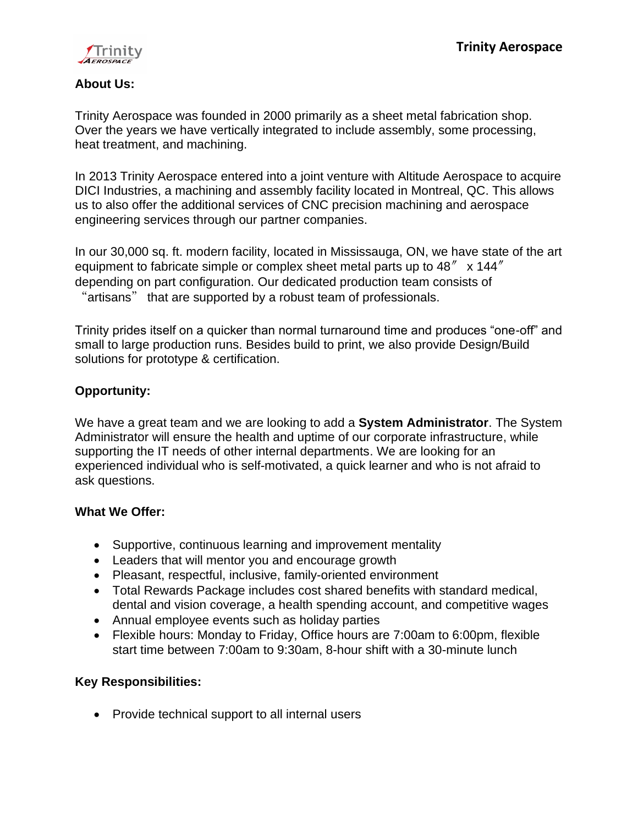

### **About Us:**

Trinity Aerospace was founded in 2000 primarily as a sheet metal fabrication shop. Over the years we have vertically integrated to include assembly, some processing, heat treatment, and machining.

In 2013 Trinity Aerospace entered into a joint venture with Altitude Aerospace to acquire DICI Industries, a machining and assembly facility located in Montreal, QC. This allows us to also offer the additional services of CNC precision machining and aerospace engineering services through our partner companies.

In our 30,000 sq. ft. modern facility, located in Mississauga, ON, we have state of the art equipment to fabricate simple or complex sheet metal parts up to  $48'' \times 144''$ depending on part configuration. Our dedicated production team consists of "artisans" that are supported by a robust team of professionals.

Trinity prides itself on a quicker than normal turnaround time and produces "one-off" and small to large production runs. Besides build to print, we also provide Design/Build solutions for prototype & certification.

# **Opportunity:**

We have a great team and we are looking to add a **System Administrator**. The System Administrator will ensure the health and uptime of our corporate infrastructure, while supporting the IT needs of other internal departments. We are looking for an experienced individual who is self-motivated, a quick learner and who is not afraid to ask questions.

### **What We Offer:**

- Supportive, continuous learning and improvement mentality
- Leaders that will mentor you and encourage growth
- Pleasant, respectful, inclusive, family-oriented environment
- Total Rewards Package includes cost shared benefits with standard medical, dental and vision coverage, a health spending account, and competitive wages
- Annual employee events such as holiday parties
- Flexible hours: Monday to Friday, Office hours are 7:00am to 6:00pm, flexible start time between 7:00am to 9:30am, 8-hour shift with a 30-minute lunch

# **Key Responsibilities:**

• Provide technical support to all internal users